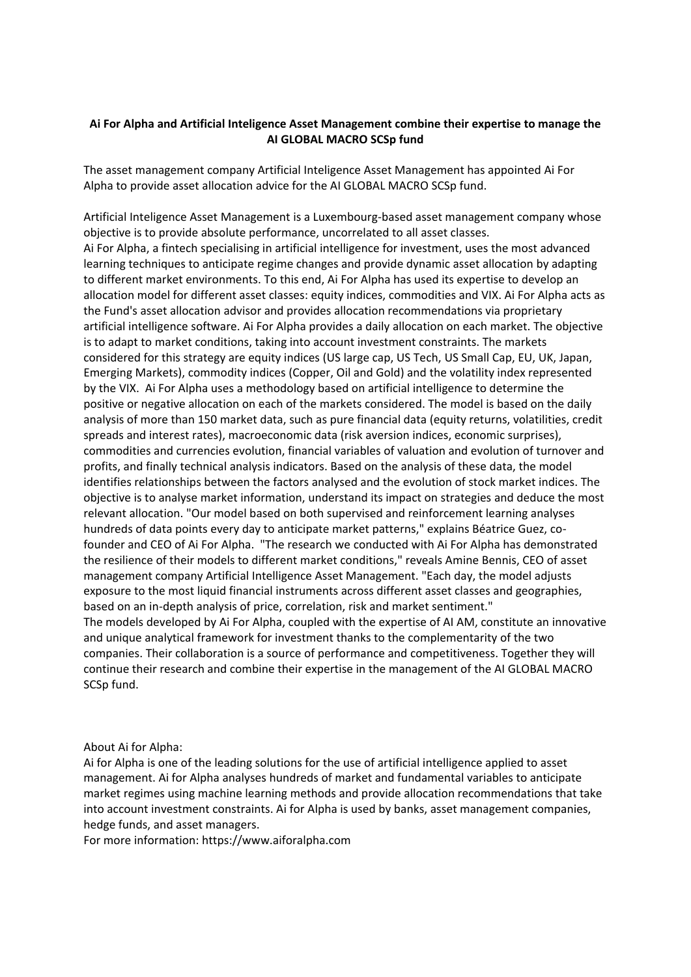## **Ai For Alpha and Artificial Inteligence Asset Management combine their expertise to manage the AI GLOBAL MACRO SCSp fund**

The asset management company Artificial Inteligence Asset Management has appointed Ai For Alpha to provide asset allocation advice for the AI GLOBAL MACRO SCSp fund.

Artificial Inteligence Asset Management is a Luxembourg-based asset management company whose objective is to provide absolute performance, uncorrelated to all asset classes. Ai For Alpha, a fintech specialising in artificial intelligence for investment, uses the most advanced learning techniques to anticipate regime changes and provide dynamic asset allocation by adapting to different market environments. To this end, Ai For Alpha has used its expertise to develop an allocation model for different asset classes: equity indices, commodities and VIX. Ai For Alpha acts as the Fund's asset allocation advisor and provides allocation recommendations via proprietary artificial intelligence software. Ai For Alpha provides a daily allocation on each market. The objective is to adapt to market conditions, taking into account investment constraints. The markets considered for this strategy are equity indices (US large cap, US Tech, US Small Cap, EU, UK, Japan, Emerging Markets), commodity indices (Copper, Oil and Gold) and the volatility index represented by the VIX. Ai For Alpha uses a methodology based on artificial intelligence to determine the positive or negative allocation on each of the markets considered. The model is based on the daily analysis of more than 150 market data, such as pure financial data (equity returns, volatilities, credit spreads and interest rates), macroeconomic data (risk aversion indices, economic surprises), commodities and currencies evolution, financial variables of valuation and evolution of turnover and profits, and finally technical analysis indicators. Based on the analysis of these data, the model identifies relationships between the factors analysed and the evolution of stock market indices. The objective is to analyse market information, understand its impact on strategies and deduce the most relevant allocation. "Our model based on both supervised and reinforcement learning analyses hundreds of data points every day to anticipate market patterns," explains Béatrice Guez, cofounder and CEO of Ai For Alpha. "The research we conducted with Ai For Alpha has demonstrated the resilience of their models to different market conditions," reveals Amine Bennis, CEO of asset management company Artificial Intelligence Asset Management. "Each day, the model adjusts exposure to the most liquid financial instruments across different asset classes and geographies, based on an in-depth analysis of price, correlation, risk and market sentiment." The models developed by Ai For Alpha, coupled with the expertise of AI AM, constitute an innovative and unique analytical framework for investment thanks to the complementarity of the two companies. Their collaboration is a source of performance and competitiveness. Together they will continue their research and combine their expertise in the management of the AI GLOBAL MACRO SCSp fund.

About Ai for Alpha:

Ai for Alpha is one of the leading solutions for the use of artificial intelligence applied to asset management. Ai for Alpha analyses hundreds of market and fundamental variables to anticipate market regimes using machine learning methods and provide allocation recommendations that take into account investment constraints. Ai for Alpha is used by banks, asset management companies, hedge funds, and asset managers.

For more information: https://www.aiforalpha.com